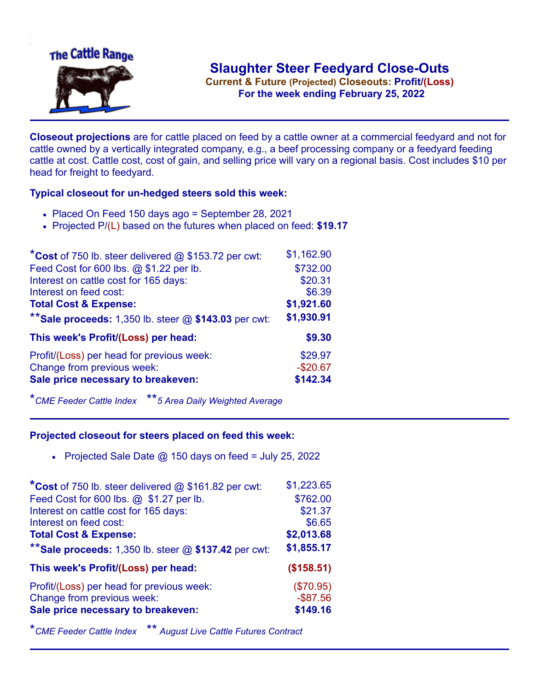

**Current & Future (Projected) Closeouts: Profit/(Loss)** .**For the week ending February 25, 2022**

**Closeout projections** are for cattle placed on feed by a cattle owner at a commercial feedyard and not for cattle owned by a vertically integrated company, e.g., a beef processing company or a feedyard feeding cattle at cost. Cattle cost, cost of gain, and selling price will vary on a regional basis. Cost includes \$10 per head for freight to feedyard.

## **Typical closeout for un-hedged steers sold this week:**

- Placed On Feed 150 days ago = September 28, 2021
- Projected P/(L) based on the futures when placed on feed: **\$19.17**

| *Cost of 750 lb. steer delivered $@$ \$153.72 per cwt:  | \$1,162.90 |
|---------------------------------------------------------|------------|
| Feed Cost for 600 lbs. @ \$1.22 per lb.                 | \$732.00   |
| Interest on cattle cost for 165 days:                   | \$20.31    |
| Interest on feed cost:                                  | \$6.39     |
| <b>Total Cost &amp; Expense:</b>                        | \$1,921.60 |
| ** Sale proceeds: 1,350 lb. steer $@$ \$143.03 per cwt: | \$1,930.91 |
| This week's Profit/(Loss) per head:                     | \$9.30     |
| Profit/(Loss) per head for previous week:               | \$29.97    |
| Change from previous week:                              | $-$20.67$  |
| Sale price necessary to breakeven:                      | \$142.34   |

\**CME Feeder Cattle Index* \*\**5 Area Daily Weighted Average*

## **Projected closeout for steers placed on feed this week:**

• Projected Sale Date  $@$  150 days on feed = July 25, 2022

| *Cost of 750 lb. steer delivered @ \$161.82 per cwt:    | \$1,223.65  |
|---------------------------------------------------------|-------------|
| Feed Cost for 600 lbs. @ \$1.27 per lb.                 | \$762.00    |
| Interest on cattle cost for 165 days:                   | \$21.37     |
| Interest on feed cost:                                  | \$6.65      |
| <b>Total Cost &amp; Expense:</b>                        | \$2,013.68  |
| ** Sale proceeds: 1,350 lb. steer $@$ \$137.42 per cwt: | \$1,855.17  |
| This week's Profit/(Loss) per head:                     | (\$158.51)  |
| Profit/(Loss) per head for previous week:               | (\$70.95)   |
| Change from previous week:                              | $-$ \$87.56 |
| Sale price necessary to breakeven:                      | \$149.16    |

\**CME Feeder Cattle Index* \*\* *August Live Cattle Futures Contract*